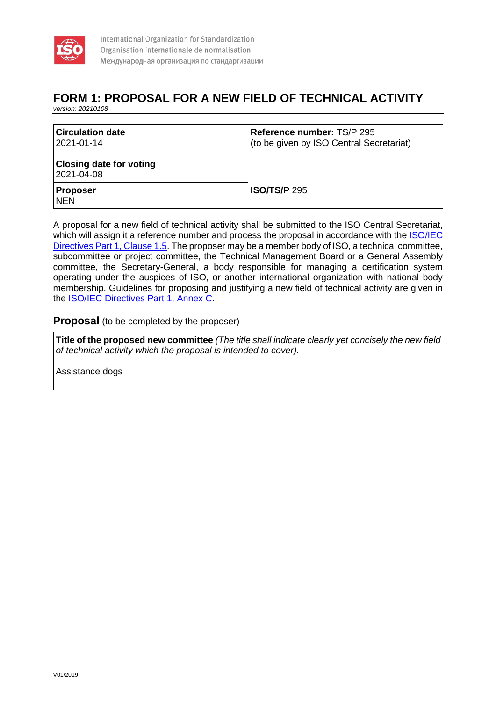

# **FORM 1: PROPOSAL FOR A NEW FIELD OF TECHNICAL ACTIVITY**

*version: 20210108*

| <b>Circulation date</b><br>2021-01-14        | Reference number: TS/P 295<br>(to be given by ISO Central Secretariat) |
|----------------------------------------------|------------------------------------------------------------------------|
| <b>Closing date for voting</b><br>2021-04-08 |                                                                        |
| <b>Proposer</b><br><b>NEN</b>                | <b>ISO/TS/P</b> 295                                                    |

A proposal for a new field of technical activity shall be submitted to the ISO Central Secretariat, which will assign it a reference number and process the proposal in accordance with the ISO/IEC [Directives Part 1, Clause 1.5.](https://www.iso.org/sites/directives/current/consolidated/index.xhtml#_idTextAnchor023) The proposer may be a member body of ISO, a technical committee, subcommittee or project committee, the Technical Management Board or a General Assembly committee, the Secretary-General, a body responsible for managing a certification system operating under the auspices of ISO, or another international organization with national body membership. Guidelines for proposing and justifying a new field of technical activity are given in the [ISO/IEC Directives Part 1, Annex C.](https://www.iso.org/sites/directives/current/consolidated/index.xhtml#_idTextAnchor329)

# **Proposal** (to be completed by the proposer)

**Title of the proposed new committee** *(The title shall indicate clearly yet concisely the new field of technical activity which the proposal is intended to cover).*

Assistance dogs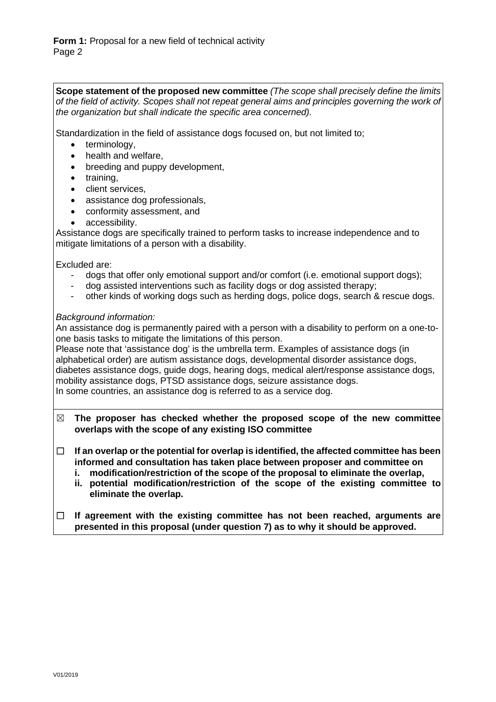**Scope statement of the proposed new committee** *(The scope shall precisely define the limits of the field of activity. Scopes shall not repeat general aims and principles governing the work of the organization but shall indicate the specific area concerned).*

Standardization in the field of assistance dogs focused on, but not limited to;

- terminology.
- health and welfare,
- breeding and puppy development,
- training,
- client services,
- assistance dog professionals.
- conformity assessment, and
- accessibility.

Assistance dogs are specifically trained to perform tasks to increase independence and to mitigate limitations of a person with a disability.

Excluded are:

- dogs that offer only emotional support and/or comfort (i.e. emotional support dogs);
- dog assisted interventions such as facility dogs or dog assisted therapy;
- other kinds of working dogs such as herding dogs, police dogs, search & rescue dogs.

## *Background information:*

An assistance dog is permanently paired with a person with a disability to perform on a one-toone basis tasks to mitigate the limitations of this person.

Please note that 'assistance dog' is the umbrella term. Examples of assistance dogs (in alphabetical order) are autism assistance dogs, developmental disorder assistance dogs, diabetes assistance dogs, guide dogs, hearing dogs, medical alert/response assistance dogs, mobility assistance dogs, PTSD assistance dogs, seizure assistance dogs. In some countries, an assistance dog is referred to as a service dog.

- ☒ **The proposer has checked whether the proposed scope of the new committee overlaps with the scope of any existing ISO committee**
- ☐ **If an overlap or the potential for overlap is identified, the affected committee has been informed and consultation has taken place between proposer and committee on** 
	- **i. modification/restriction of the scope of the proposal to eliminate the overlap,**
	- **ii. potential modification/restriction of the scope of the existing committee to eliminate the overlap.**
- ☐ **If agreement with the existing committee has not been reached, arguments are presented in this proposal (under question 7) as to why it should be approved.**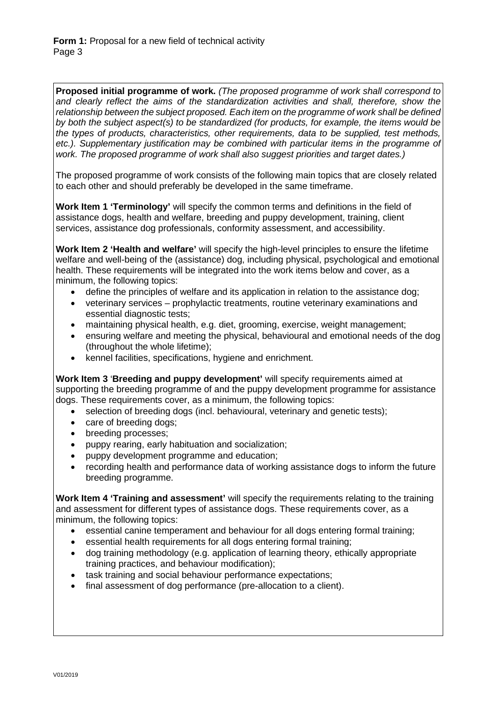**Proposed initial programme of work.** *(The proposed programme of work shall correspond to and clearly reflect the aims of the standardization activities and shall, therefore, show the relationship between the subject proposed. Each item on the programme of work shall be defined by both the subject aspect(s) to be standardized (for products, for example, the items would be the types of products, characteristics, other requirements, data to be supplied, test methods,*  etc.). Supplementary justification may be combined with particular items in the programme of *work. The proposed programme of work shall also suggest priorities and target dates.)*

The proposed programme of work consists of the following main topics that are closely related to each other and should preferably be developed in the same timeframe.

**Work Item 1 'Terminology'** will specify the common terms and definitions in the field of assistance dogs, health and welfare, breeding and puppy development, training, client services, assistance dog professionals, conformity assessment, and accessibility.

**Work Item 2 'Health and welfare'** will specify the high-level principles to ensure the lifetime welfare and well-being of the (assistance) dog, including physical, psychological and emotional health. These requirements will be integrated into the work items below and cover, as a minimum, the following topics:

- define the principles of welfare and its application in relation to the assistance dog;
- veterinary services prophylactic treatments, routine veterinary examinations and essential diagnostic tests;
- maintaining physical health, e.g. diet, grooming, exercise, weight management;
- ensuring welfare and meeting the physical, behavioural and emotional needs of the dog (throughout the whole lifetime);
- kennel facilities, specifications, hygiene and enrichment.

**Work Item 3** '**Breeding and puppy development'** will specify requirements aimed at supporting the breeding programme of and the puppy development programme for assistance dogs. These requirements cover, as a minimum, the following topics:

- selection of breeding dogs (incl. behavioural, veterinary and genetic tests);
- care of breeding dogs;
- breeding processes;
- puppy rearing, early habituation and socialization;
- puppy development programme and education;
- recording health and performance data of working assistance dogs to inform the future breeding programme.

**Work Item 4 'Training and assessment'** will specify the requirements relating to the training and assessment for different types of assistance dogs. These requirements cover, as a minimum, the following topics:

- essential canine temperament and behaviour for all dogs entering formal training;
- essential health requirements for all dogs entering formal training;
- dog training methodology (e.g. application of learning theory, ethically appropriate training practices, and behaviour modification);
- task training and social behaviour performance expectations;
- final assessment of dog performance (pre-allocation to a client).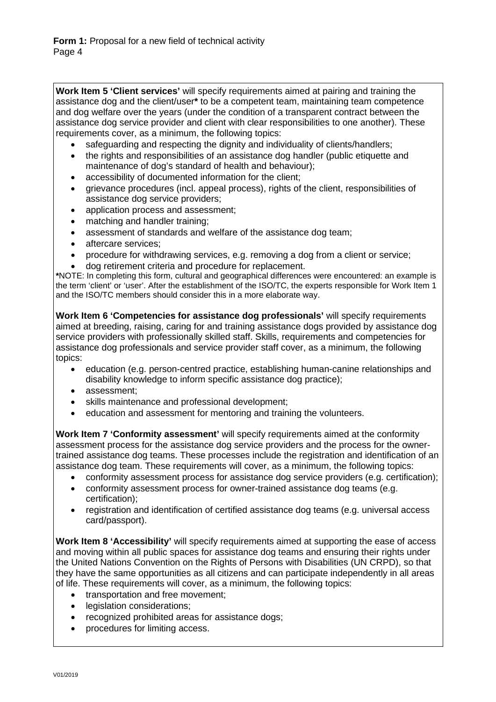**Work Item 5 'Client services'** will specify requirements aimed at pairing and training the assistance dog and the client/user**\*** to be a competent team, maintaining team competence and dog welfare over the years (under the condition of a transparent contract between the assistance dog service provider and client with clear responsibilities to one another). These requirements cover, as a minimum, the following topics:

- safeguarding and respecting the dignity and individuality of clients/handlers;
- the rights and responsibilities of an assistance dog handler (public etiquette and maintenance of dog's standard of health and behaviour);
- accessibility of documented information for the client;
- grievance procedures (incl. appeal process), rights of the client, responsibilities of assistance dog service providers;
- application process and assessment;
- matching and handler training;
- assessment of standards and welfare of the assistance dog team;
- aftercare services;
- procedure for withdrawing services, e.g. removing a dog from a client or service;
- dog retirement criteria and procedure for replacement.

**\***NOTE: In completing this form, cultural and geographical differences were encountered: an example is the term 'client' or 'user'. After the establishment of the ISO/TC, the experts responsible for Work Item 1 and the ISO/TC members should consider this in a more elaborate way.

**Work Item 6 'Competencies for assistance dog professionals'** will specify requirements aimed at breeding, raising, caring for and training assistance dogs provided by assistance dog service providers with professionally skilled staff. Skills, requirements and competencies for assistance dog professionals and service provider staff cover, as a minimum, the following topics:

- education (e.g. person-centred practice, establishing human-canine relationships and disability knowledge to inform specific assistance dog practice);
- assessment;
- skills maintenance and professional development;
- education and assessment for mentoring and training the volunteers.

**Work Item 7 'Conformity assessment'** will specify requirements aimed at the conformity assessment process for the assistance dog service providers and the process for the ownertrained assistance dog teams. These processes include the registration and identification of an assistance dog team. These requirements will cover, as a minimum, the following topics:

- conformity assessment process for assistance dog service providers (e.g. certification);
- conformity assessment process for owner-trained assistance dog teams (e.g. certification);
- registration and identification of certified assistance dog teams (e.g. universal access card/passport).

**Work Item 8 'Accessibility'** will specify requirements aimed at supporting the ease of access and moving within all public spaces for assistance dog teams and ensuring their rights under the United Nations Convention on the Rights of Persons with Disabilities (UN CRPD), so that they have the same opportunities as all citizens and can participate independently in all areas of life. These requirements will cover, as a minimum, the following topics:

- transportation and free movement;
- legislation considerations;
- recognized prohibited areas for assistance dogs:
- procedures for limiting access.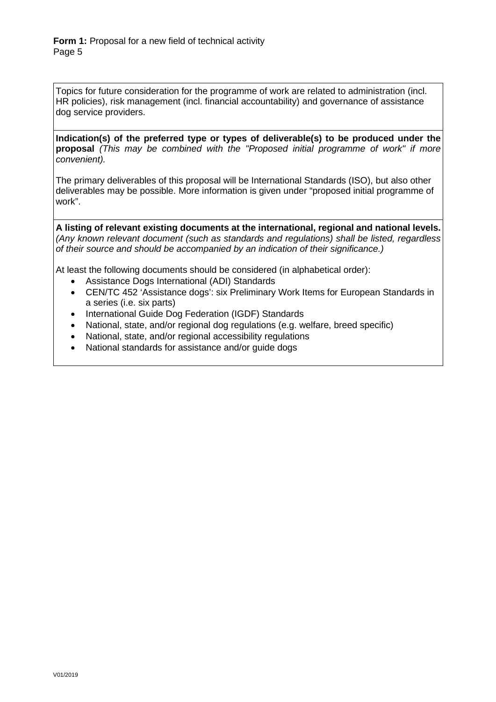Topics for future consideration for the programme of work are related to administration (incl. HR policies), risk management (incl. financial accountability) and governance of assistance dog service providers.

**Indication(s) of the preferred type or types of deliverable(s) to be produced under the proposal** *(This may be combined with the "Proposed initial programme of work" if more convenient).*

The primary deliverables of this proposal will be International Standards (ISO), but also other deliverables may be possible. More information is given under "proposed initial programme of work".

**A listing of relevant existing documents at the international, regional and national levels.**  *(Any known relevant document (such as standards and regulations) shall be listed, regardless of their source and should be accompanied by an indication of their significance.)*

At least the following documents should be considered (in alphabetical order):

- Assistance Dogs International (ADI) Standards
- CEN/TC 452 'Assistance dogs': six Preliminary Work Items for European Standards in a series (i.e. six parts)
- International Guide Dog Federation (IGDF) Standards
- National, state, and/or regional dog regulations (e.g. welfare, breed specific)
- National, state, and/or regional accessibility regulations
- National standards for assistance and/or guide dogs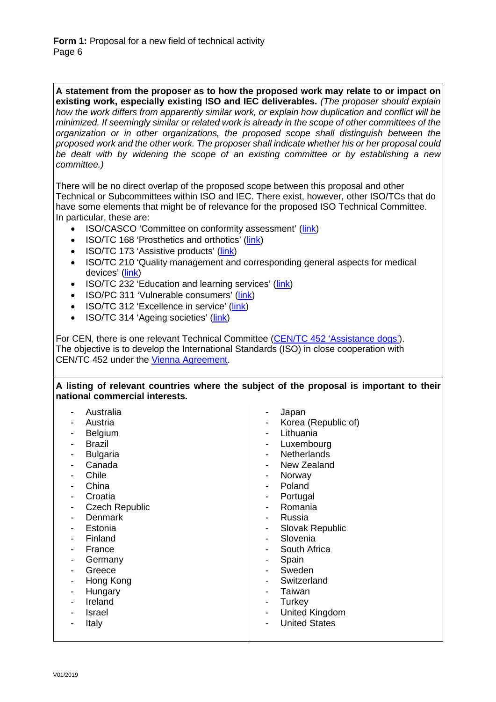**A statement from the proposer as to how the proposed work may relate to or impact on existing work, especially existing ISO and IEC deliverables.** *(The proposer should explain how the work differs from apparently similar work, or explain how duplication and conflict will be minimized. If seemingly similar or related work is already in the scope of other committees of the organization or in other organizations, the proposed scope shall distinguish between the proposed work and the other work. The proposer shall indicate whether his or her proposal could be dealt with by widening the scope of an existing committee or by establishing a new committee.)*

There will be no direct overlap of the proposed scope between this proposal and other Technical or Subcommittees within ISO and IEC. There exist, however, other ISO/TCs that do have some elements that might be of relevance for the proposed ISO Technical Committee. In particular, these are:

- ISO/CASCO 'Committee on conformity assessment' [\(link\)](https://www.iso.org/committee/54998.html)
- ISO/TC 168 'Prosthetics and orthotics' [\(link\)](https://www.iso.org/committee/53630.html)
- ISO/TC 173 'Assistive products' [\(link\)](https://www.iso.org/committee/53782.html)
- ISO/TC 210 'Quality management and corresponding general aspects for medical devices' [\(link\)](https://www.iso.org/committee/54892.html)
- ISO/TC 232 'Education and learning services' [\(link\)](https://www.iso.org/committee/537864.html)
- ISO/PC 311 'Vulnerable consumers' [\(link\)](https://www.iso.org/committee/6614775.html)
- ISO/TC 312 'Excellence in service' [\(link\)](https://www.iso.org/committee/6721315.html)
- ISO/TC 314 'Ageing societies' [\(link\)](https://www.iso.org/committee/6810883.html)

For CEN, there is one relevant Technical Committee [\(CEN/TC 452 'Assistance dogs'\)](https://standards.cen.eu/dyn/www/f?p=204:7:0::::FSP_ORG_ID:2181734&cs=15B376FE55757BDA2A8DB4FE779B3DC45). The objective is to develop the International Standards (ISO) in close cooperation with CEN/TC 452 under the [Vienna Agreement.](https://isotc.iso.org/livelink/livelink?func=ll&objId=4230689&objAction=Open&nexturl=%2Flivelink%2Flivelink%2Ffetch%2F2000%2F2122%2F3146825%2F4229629%2F4230450%2F4230458%2Fcustomview%252Ehtml%3Ffunc%3Dll%26objId%3D4230458%26objAction%3Dbrowse%26sort%3Dsubtype)

#### **A listing of relevant countries where the subject of the proposal is important to their national commercial interests.**

| Australia<br>Austria<br>Belgium<br><b>Brazil</b><br>-<br><b>Bulgaria</b><br>Canada<br>Chile<br>China<br>Croatia<br><b>Czech Republic</b><br>Denmark<br>Estonia<br>Finland<br>France<br>Germany<br>Greece<br>Hong Kong<br>Hungary<br>-<br>Ireland<br>Israel<br>Italy | Japan<br>-<br>Korea (Republic of)<br>$\overline{\phantom{a}}$<br>Lithuania<br>Luxembourg<br>-<br><b>Netherlands</b><br>New Zealand<br>-<br>Norway<br>-<br>Poland<br>Portugal<br>-<br>Romania<br>-<br>Russia<br>-<br>Slovak Republic<br>-<br>Slovenia<br>-<br>South Africa<br>-<br>Spain<br>٠<br>Sweden<br>-<br>Switzerland<br>-<br>Taiwan<br>-<br>Turkey<br>-<br>United Kingdom<br>-<br><b>United States</b> |
|---------------------------------------------------------------------------------------------------------------------------------------------------------------------------------------------------------------------------------------------------------------------|--------------------------------------------------------------------------------------------------------------------------------------------------------------------------------------------------------------------------------------------------------------------------------------------------------------------------------------------------------------------------------------------------------------|
|---------------------------------------------------------------------------------------------------------------------------------------------------------------------------------------------------------------------------------------------------------------------|--------------------------------------------------------------------------------------------------------------------------------------------------------------------------------------------------------------------------------------------------------------------------------------------------------------------------------------------------------------------------------------------------------------|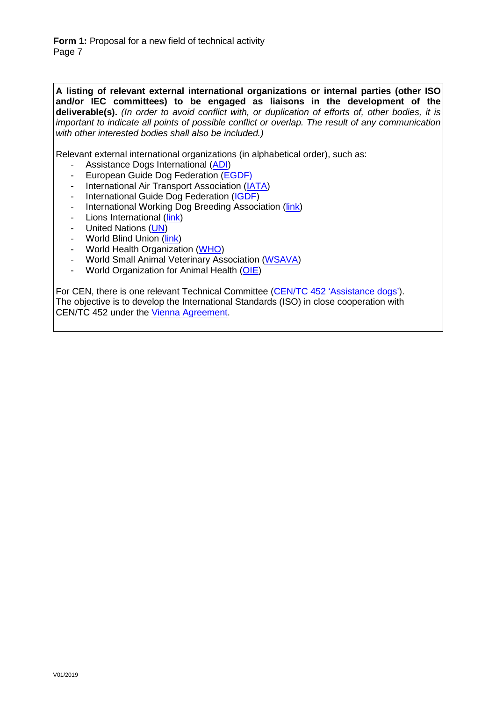**Form 1:** Proposal for a new field of technical activity Page 7

**A listing of relevant external international organizations or internal parties (other ISO and/or IEC committees) to be engaged as liaisons in the development of the deliverable(s).** *(In order to avoid conflict with, or duplication of efforts of, other bodies, it is important to indicate all points of possible conflict or overlap. The result of any communication with other interested bodies shall also be included.)*

Relevant external international organizations (in alphabetical order), such as:

- Assistance Dogs International [\(ADI\)](https://assistancedogsinternational.org/)
- European Guide Dog Federation [\(EGDF\)](https://www.egdfed.org/home)
- International Air Transport Association [\(IATA\)](https://www.iata.org/)
- International Guide Dog Federation [\(IGDF\)](https://www.igdf.org.uk/)
- International Working Dog Breeding Association [\(link\)](http://www.iwdba.org/)
- Lions International [\(link\)](http://www.lionsclubs.org/en)
- United Nations [\(UN\)](https://www.un.org/en/)
- World Blind Union [\(link\)](http://www.worldblindunion.org/)
- World Health Organization [\(WHO\)](https://www.who.int/)
- World Small Animal Veterinary Association [\(WSAVA\)](https://wsava.org/)
- World Organization for Animal Health [\(OIE\)](http://www.oie.int/)

For CEN, there is one relevant Technical Committee [\(CEN/TC 452 'Assistance dogs'\)](https://standards.cen.eu/dyn/www/f?p=204:7:0::::FSP_ORG_ID:2181734&cs=15B376FE55757BDA2A8DB4FE779B3DC45). The objective is to develop the International Standards (ISO) in close cooperation with CEN/TC 452 under the [Vienna Agreement.](https://isotc.iso.org/livelink/livelink?func=ll&objId=4230689&objAction=Open&nexturl=%2Flivelink%2Flivelink%2Ffetch%2F2000%2F2122%2F3146825%2F4229629%2F4230450%2F4230458%2Fcustomview%252Ehtml%3Ffunc%3Dll%26objId%3D4230458%26objAction%3Dbrowse%26sort%3Dsubtype)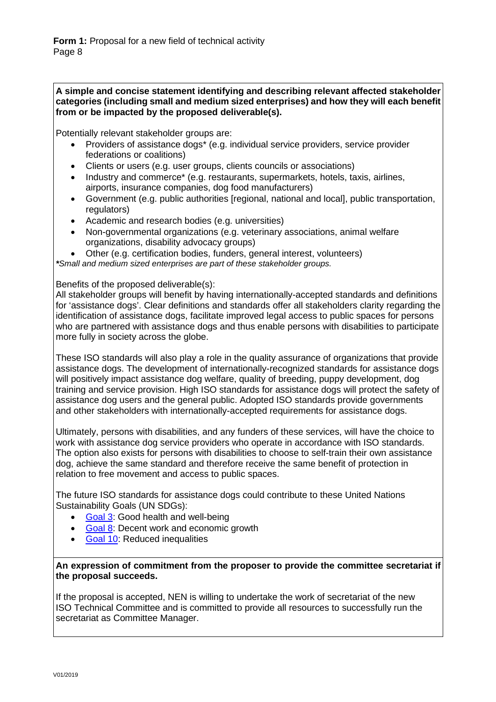## **A simple and concise statement identifying and describing relevant affected stakeholder categories (including small and medium sized enterprises) and how they will each benefit from or be impacted by the proposed deliverable(s).**

Potentially relevant stakeholder groups are:

- Providers of assistance dogs\* (e.g. individual service providers, service provider federations or coalitions)
- Clients or users (e.g. user groups, clients councils or associations)
- Industry and commerce\* (e.g. restaurants, supermarkets, hotels, taxis, airlines, airports, insurance companies, dog food manufacturers)
- Government (e.g. public authorities [regional, national and local], public transportation, regulators)
- Academic and research bodies (e.g. universities)
- Non-governmental organizations (e.g. veterinary associations, animal welfare organizations, disability advocacy groups)
- Other (e.g. certification bodies, funders, general interest, volunteers)

*\*Small and medium sized enterprises are part of these stakeholder groups.*

Benefits of the proposed deliverable(s):

All stakeholder groups will benefit by having internationally-accepted standards and definitions for 'assistance dogs'. Clear definitions and standards offer all stakeholders clarity regarding the identification of assistance dogs, facilitate improved legal access to public spaces for persons who are partnered with assistance dogs and thus enable persons with disabilities to participate more fully in society across the globe.

These ISO standards will also play a role in the quality assurance of organizations that provide assistance dogs. The development of internationally-recognized standards for assistance dogs will positively impact assistance dog welfare, quality of breeding, puppy development, dog training and service provision. High ISO standards for assistance dogs will protect the safety of assistance dog users and the general public. Adopted ISO standards provide governments and other stakeholders with internationally-accepted requirements for assistance dogs.

Ultimately, persons with disabilities, and any funders of these services, will have the choice to work with assistance dog service providers who operate in accordance with ISO standards. The option also exists for persons with disabilities to choose to self-train their own assistance dog, achieve the same standard and therefore receive the same benefit of protection in relation to free movement and access to public spaces.

The future ISO standards for assistance dogs could contribute to these United Nations Sustainability Goals (UN SDGs):

- [Goal 3:](https://www.iso.org/sdg/SDG03.html) Good health and well-being
- [Goal 8:](https://www.iso.org/sdg/SDG08.html) Decent work and economic growth
- [Goal 10:](https://www.iso.org/sdg/SDG10.html) Reduced inequalities

**An expression of commitment from the proposer to provide the committee secretariat if the proposal succeeds.**

If the proposal is accepted, NEN is willing to undertake the work of secretariat of the new ISO Technical Committee and is committed to provide all resources to successfully run the secretariat as Committee Manager.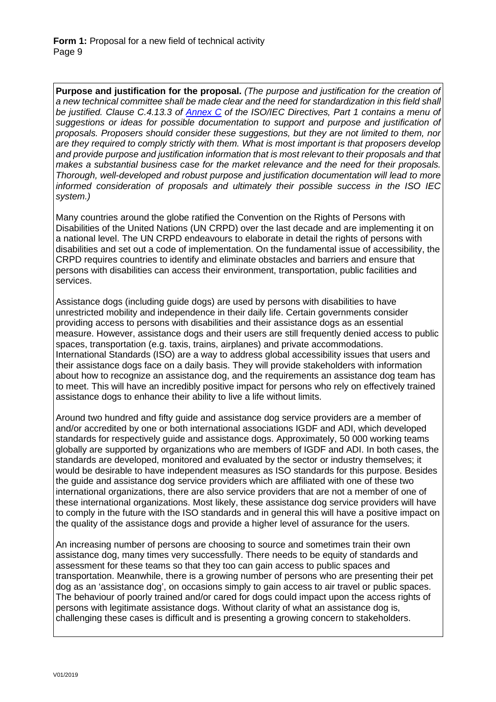**Purpose and justification for the proposal.** *(The purpose and justification for the creation of a new technical committee shall be made clear and the need for standardization in this field shall be justified. Clause C.4.13.3 of [Annex C](https://www.iso.org/sites/directives/current/part1/index.xhtml#_idTextAnchor310) of the ISO/IEC Directives, Part 1 contains a menu of*  suggestions or ideas for possible documentation to support and purpose and justification of *proposals. Proposers should consider these suggestions, but they are not limited to them, nor are they required to comply strictly with them. What is most important is that proposers develop and provide purpose and justification information that is most relevant to their proposals and that makes a substantial business case for the market relevance and the need for their proposals. Thorough, well-developed and robust purpose and justification documentation will lead to more informed consideration of proposals and ultimately their possible success in the ISO IEC system.)*

Many countries around the globe ratified the Convention on the Rights of Persons with Disabilities of the United Nations (UN CRPD) over the last decade and are implementing it on a national level. The UN CRPD endeavours to elaborate in detail the rights of persons with disabilities and set out a code of implementation. On the fundamental issue of accessibility, the CRPD requires countries to identify and eliminate obstacles and barriers and ensure that persons with disabilities can access their environment, transportation, public facilities and services.

Assistance dogs (including guide dogs) are used by persons with disabilities to have unrestricted mobility and independence in their daily life. Certain governments consider providing access to persons with disabilities and their assistance dogs as an essential measure. However, assistance dogs and their users are still frequently denied access to public spaces, transportation (e.g. taxis, trains, airplanes) and private accommodations. International Standards (ISO) are a way to address global accessibility issues that users and their assistance dogs face on a daily basis. They will provide stakeholders with information about how to recognize an assistance dog, and the requirements an assistance dog team has to meet. This will have an incredibly positive impact for persons who rely on effectively trained assistance dogs to enhance their ability to live a life without limits.

Around two hundred and fifty guide and assistance dog service providers are a member of and/or accredited by one or both international associations IGDF and ADI, which developed standards for respectively guide and assistance dogs. Approximately, 50 000 working teams globally are supported by organizations who are members of IGDF and ADI. In both cases, the standards are developed, monitored and evaluated by the sector or industry themselves; it would be desirable to have independent measures as ISO standards for this purpose. Besides the guide and assistance dog service providers which are affiliated with one of these two international organizations, there are also service providers that are not a member of one of these international organizations. Most likely, these assistance dog service providers will have to comply in the future with the ISO standards and in general this will have a positive impact on the quality of the assistance dogs and provide a higher level of assurance for the users.

An increasing number of persons are choosing to source and sometimes train their own assistance dog, many times very successfully. There needs to be equity of standards and assessment for these teams so that they too can gain access to public spaces and transportation. Meanwhile, there is a growing number of persons who are presenting their pet dog as an 'assistance dog', on occasions simply to gain access to air travel or public spaces. The behaviour of poorly trained and/or cared for dogs could impact upon the access rights of persons with legitimate assistance dogs. Without clarity of what an assistance dog is, challenging these cases is difficult and is presenting a growing concern to stakeholders.